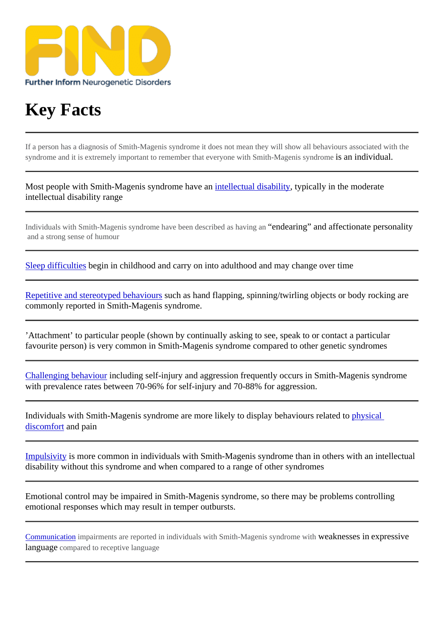## [Key Facts](https://findresources.co.uk)

If a person has a diagnosis of Smith-Magenis syndrome it does not mean they will show all behaviours associated with the syndrome and it is extremely important to remember that yone with Smith-Magenis syndromisean individual.

Most people with Smith-Magenis syndrome have need cotability typically in the moderate intellectual disability range

Individuals with Smith-Magenis syndrome have been described as haviendearing" and affectionate personality and a strong sense of humour

Sleep difficultiesbegin in childhood and carry on into adulthood and whange over time

Repetitive and stereotyped behaviosush as hand flapping, spinning/twirling objects or body rocking are [commonly repo](https://www.findresources.co.uk/the-syndromes/smith-magenis/behavioural-characteristics/sleep)rted in Smith-Magenis syndrome.

'Attachment' to particular people hown by continually asking to see, speak to or contact a particular favourite person) is very common in Smith-Magenis syndrome compared to other genetic syndromes

Challenging behaviouncluding self-injury and aggressidine quently occurs in Smith-Magenis syndrome with prevalence rates between 70-96% for self-injury and 70-88% for aggression.

[Individuals with Smith](https://www.findresources.co.uk/the-syndromes/smith-magenis/challenging-behaviour)-Magenis syndrome are more likely to display behaviours related stigal discomfortand pain

Impulsivity is more commoin individuals with Smith-Magenis syndrome than in oth[ers with a](https://www.findresources.co.uk/the-syndromes/smith-magenis/health)n intellectual [disability w](https://www.findresources.co.uk/the-syndromes/smith-magenis/health)ithout this syndrome and when compared to a range of other syndromes

[Emotional](https://www.findresources.co.uk/the-syndromes/smith-magenis/behavioural-characteristics/overactivity-impulsivity) control may be impaired in Smith-Magenis syndrome, so there manual controlling emotional responseshich may result in temper outbursts.

Communication impairments are reported in individuals with Smith-Magenis syndrome wetaknesses iexpressive language compared to receptive language